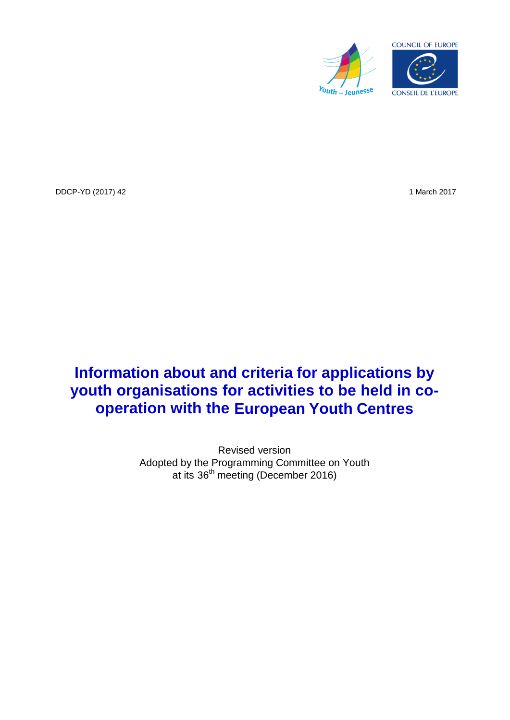

DDCP-YD (2017) 42 1 March 2017

# **Information about and criteria for applications by youth organisations for activities to be held in cooperation with the European Youth Centres**

Revised version Adopted by the Programming Committee on Youth at its 36<sup>th</sup> meeting (December 2016)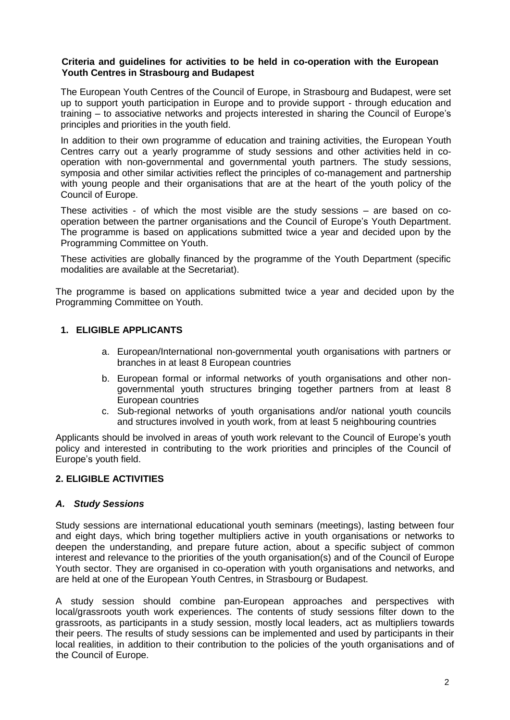#### **Criteria and guidelines for activities to be held in co-operation with the European Youth Centres in Strasbourg and Budapest**

The European Youth Centres of the Council of Europe, in Strasbourg and Budapest, were set up to support youth participation in Europe and to provide support - through education and training – to associative networks and projects interested in sharing the Council of Europe's principles and priorities in the youth field.

In addition to their own programme of education and training activities, the European Youth Centres carry out a yearly programme of study sessions and other activities held in cooperation with non-governmental and governmental youth partners. The study sessions, symposia and other similar activities reflect the principles of co-management and partnership with young people and their organisations that are at the heart of the youth policy of the Council of Europe.

These activities - of which the most visible are the study sessions – are based on cooperation between the partner organisations and the Council of Europe's Youth Department. The programme is based on applications submitted twice a year and decided upon by the Programming Committee on Youth.

These activities are globally financed by the programme of the Youth Department (specific modalities are available at the Secretariat).

The programme is based on applications submitted twice a year and decided upon by the Programming Committee on Youth.

### **1. ELIGIBLE APPLICANTS**

- a. European/International non-governmental youth organisations with partners or branches in at least 8 European countries
- b. European formal or informal networks of youth organisations and other nongovernmental youth structures bringing together partners from at least 8 European countries
- c. Sub-regional networks of youth organisations and/or national youth councils and structures involved in youth work, from at least 5 neighbouring countries

Applicants should be involved in areas of youth work relevant to the Council of Europe's youth policy and interested in contributing to the work priorities and principles of the Council of Europe's youth field.

#### **2. ELIGIBLE ACTIVITIES**

#### *A. Study Sessions*

Study sessions are international educational youth seminars (meetings), lasting between four and eight days, which bring together multipliers active in youth organisations or networks to deepen the understanding, and prepare future action, about a specific subject of common interest and relevance to the priorities of the youth organisation(s) and of the Council of Europe Youth sector. They are organised in co-operation with youth organisations and networks, and are held at one of the European Youth Centres, in Strasbourg or Budapest.

A study session should combine pan-European approaches and perspectives with local/grassroots youth work experiences. The contents of study sessions filter down to the grassroots, as participants in a study session, mostly local leaders, act as multipliers towards their peers. The results of study sessions can be implemented and used by participants in their local realities, in addition to their contribution to the policies of the youth organisations and of the Council of Europe.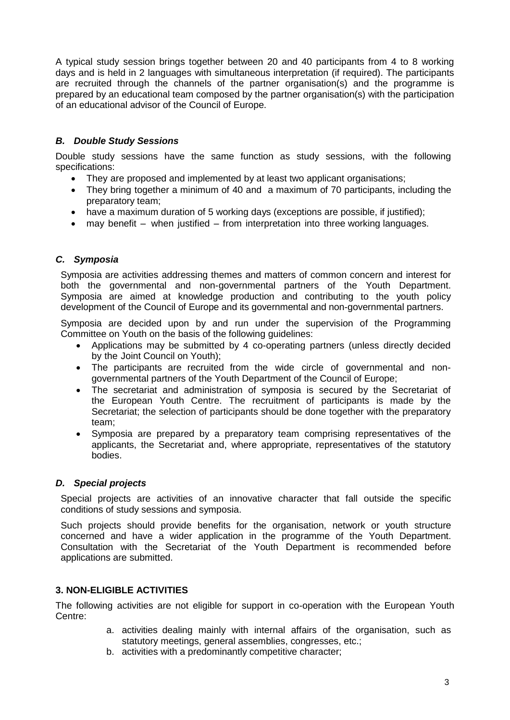A typical study session brings together between 20 and 40 participants from 4 to 8 working days and is held in 2 languages with simultaneous interpretation (if required). The participants are recruited through the channels of the partner organisation(s) and the programme is prepared by an educational team composed by the partner organisation(s) with the participation of an educational advisor of the Council of Europe.

# *B. Double Study Sessions*

Double study sessions have the same function as study sessions, with the following specifications:

- They are proposed and implemented by at least two applicant organisations;
- They bring together a minimum of 40 and a maximum of 70 participants, including the preparatory team;
- have a maximum duration of 5 working days (exceptions are possible, if justified);
- may benefit when justified from interpretation into three working languages.

## *C. Symposia*

Symposia are activities addressing themes and matters of common concern and interest for both the governmental and non-governmental partners of the Youth Department. Symposia are aimed at knowledge production and contributing to the youth policy development of the Council of Europe and its governmental and non-governmental partners.

Symposia are decided upon by and run under the supervision of the Programming Committee on Youth on the basis of the following guidelines:

- Applications may be submitted by 4 co-operating partners (unless directly decided by the Joint Council on Youth);
- The participants are recruited from the wide circle of governmental and nongovernmental partners of the Youth Department of the Council of Europe;
- The secretariat and administration of symposia is secured by the Secretariat of the European Youth Centre. The recruitment of participants is made by the Secretariat; the selection of participants should be done together with the preparatory team;
- Symposia are prepared by a preparatory team comprising representatives of the applicants, the Secretariat and, where appropriate, representatives of the statutory bodies.

#### *D. Special projects*

Special projects are activities of an innovative character that fall outside the specific conditions of study sessions and symposia.

Such projects should provide benefits for the organisation, network or youth structure concerned and have a wider application in the programme of the Youth Department. Consultation with the Secretariat of the Youth Department is recommended before applications are submitted.

## **3. NON-ELIGIBLE ACTIVITIES**

The following activities are not eligible for support in co-operation with the European Youth Centre:

- a. activities dealing mainly with internal affairs of the organisation, such as statutory meetings, general assemblies, congresses, etc.;
- b. activities with a predominantly competitive character;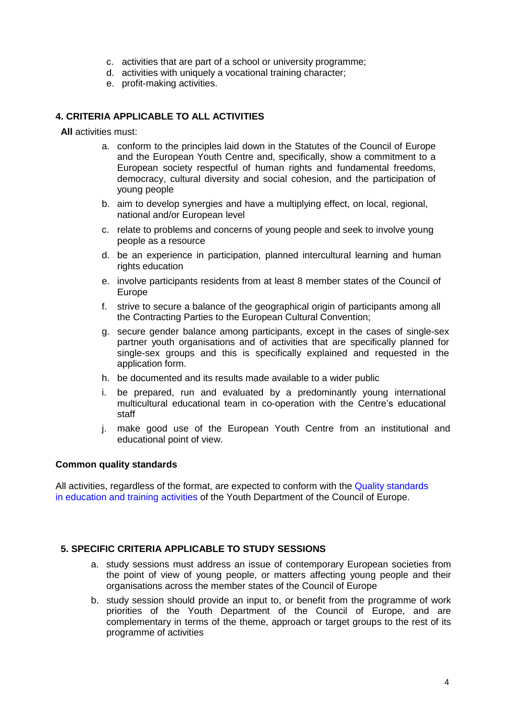- c. activities that are part of a school or university programme;
- d. activities with uniquely a vocational training character;
- e. profit-making activities.

### **4. CRITERIA APPLICABLE TO ALL ACTIVITIES**

**All** activities must:

- a. conform to the principles laid down in the Statutes of the Council of Europe and the European Youth Centre and, specifically, show a commitment to a European society respectful of human rights and fundamental freedoms, democracy, cultural diversity and social cohesion, and the participation of young people
- b. aim to develop synergies and have a multiplying effect, on local, regional, national and/or European level
- c. relate to problems and concerns of young people and seek to involve young people as a resource
- d. be an experience in participation, planned intercultural learning and human rights education
- e. involve participants residents from at least 8 member states of the Council of Europe
- f. strive to secure a balance of the geographical origin of participants among all the Contracting Parties to the European Cultural Convention;
- g. secure gender balance among participants, except in the cases of single-sex partner youth organisations and of activities that are specifically planned for single-sex groups and this is specifically explained and requested in the application form.
- h. be documented and its results made available to a wider public
- i. be prepared, run and evaluated by a predominantly young international multicultural educational team in co-operation with the Centre's educational staff
- j. make good use of the European Youth Centre from an institutional and educational point of view.

#### **Common quality standards**

[All activities, regardless of the format, are expected to conform with the Quality standards](https://rm.coe.int/1680703013) in education and training activities of the Youth Department of the Council of Europe.

#### **5. SPECIFIC CRITERIA APPLICABLE TO STUDY SESSIONS**

- a. study sessions must address an issue of contemporary European societies from the point of view of young people, or matters affecting young people and their organisations across the member states of the Council of Europe
- b. study session should provide an input to, or benefit from the programme of work priorities of the Youth Department of the Council of Europe, and are complementary in terms of the theme, approach or target groups to the rest of its programme of activities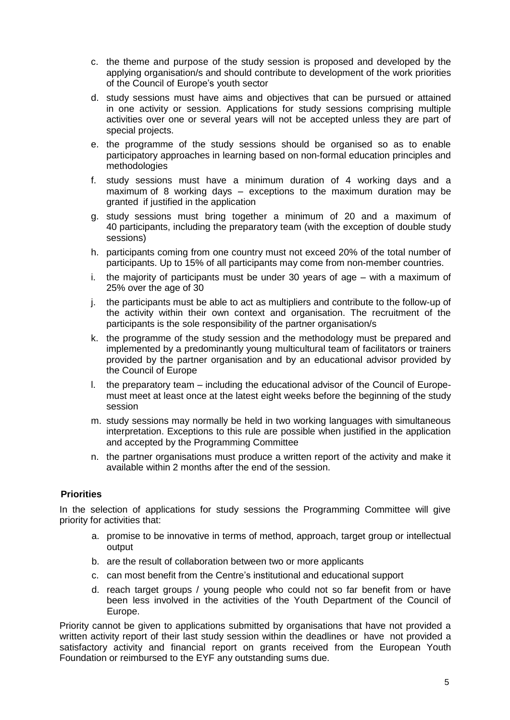- c. the theme and purpose of the study session is proposed and developed by the applying organisation/s and should contribute to development of the work priorities of the Council of Europe's youth sector
- d. study sessions must have aims and objectives that can be pursued or attained in one activity or session. Applications for study sessions comprising multiple activities over one or several years will not be accepted unless they are part of special projects.
- e. the programme of the study sessions should be organised so as to enable participatory approaches in learning based on non-formal education principles and methodologies
- f. study sessions must have a minimum duration of 4 working days and a maximum of 8 working days – exceptions to the maximum duration may be granted if justified in the application
- g. study sessions must bring together a minimum of 20 and a maximum of 40 participants, including the preparatory team (with the exception of double study sessions)
- h. participants coming from one country must not exceed 20% of the total number of participants. Up to 15% of all participants may come from non-member countries.
- i. the majority of participants must be under 30 years of age with a maximum of 25% over the age of 30
- j. the participants must be able to act as multipliers and contribute to the follow-up of the activity within their own context and organisation. The recruitment of the participants is the sole responsibility of the partner organisation/s
- k. the programme of the study session and the methodology must be prepared and implemented by a predominantly young multicultural team of facilitators or trainers provided by the partner organisation and by an educational advisor provided by the Council of Europe
- l. the preparatory team including the educational advisor of the Council of Europemust meet at least once at the latest eight weeks before the beginning of the study session
- m. study sessions may normally be held in two working languages with simultaneous interpretation. Exceptions to this rule are possible when justified in the application and accepted by the Programming Committee
- n. the partner organisations must produce a written report of the activity and make it available within 2 months after the end of the session.

## **Priorities**

In the selection of applications for study sessions the Programming Committee will give priority for activities that:

- a. promise to be innovative in terms of method, approach, target group or intellectual output
- b. are the result of collaboration between two or more applicants
- c. can most benefit from the Centre's institutional and educational support
- d. reach target groups / young people who could not so far benefit from or have been less involved in the activities of the Youth Department of the Council of Europe.

Priority cannot be given to applications submitted by organisations that have not provided a written activity report of their last study session within the deadlines or have not provided a satisfactory activity and financial report on grants received from the European Youth Foundation or reimbursed to the EYF any outstanding sums due.